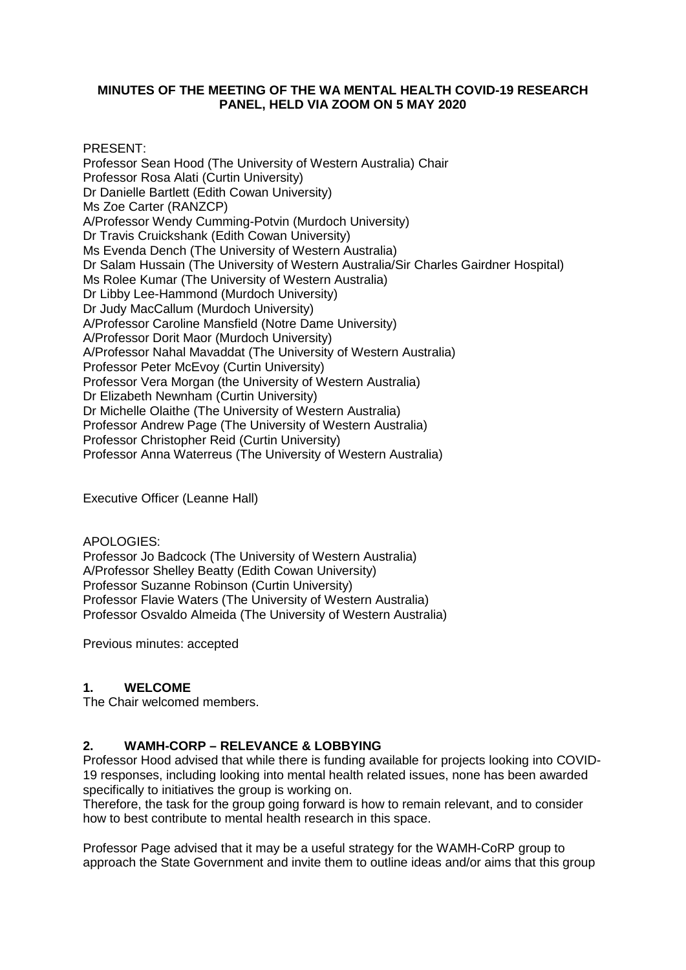## **MINUTES OF THE MEETING OF THE WA MENTAL HEALTH COVID-19 RESEARCH PANEL, HELD VIA ZOOM ON 5 MAY 2020**

PRESENT:

Professor Sean Hood (The University of Western Australia) Chair Professor Rosa Alati (Curtin University) Dr Danielle Bartlett (Edith Cowan University) Ms Zoe Carter (RANZCP) A/Professor Wendy Cumming-Potvin (Murdoch University) Dr Travis Cruickshank (Edith Cowan University) Ms Evenda Dench (The University of Western Australia) Dr Salam Hussain (The University of Western Australia/Sir Charles Gairdner Hospital) Ms Rolee Kumar (The University of Western Australia) Dr Libby Lee-Hammond (Murdoch University) Dr Judy MacCallum (Murdoch University) A/Professor Caroline Mansfield (Notre Dame University) A/Professor Dorit Maor (Murdoch University) A/Professor Nahal Mavaddat (The University of Western Australia) Professor Peter McEvoy (Curtin University) Professor Vera Morgan (the University of Western Australia) Dr Elizabeth Newnham (Curtin University) Dr Michelle Olaithe (The University of Western Australia) Professor Andrew Page (The University of Western Australia) Professor Christopher Reid (Curtin University) Professor Anna Waterreus (The University of Western Australia)

Executive Officer (Leanne Hall)

APOLOGIES:

Professor Jo Badcock (The University of Western Australia) A/Professor Shelley Beatty (Edith Cowan University) Professor Suzanne Robinson (Curtin University) Professor Flavie Waters (The University of Western Australia) Professor Osvaldo Almeida (The University of Western Australia)

Previous minutes: accepted

## **1. WELCOME**

The Chair welcomed members.

## **2. WAMH-CORP – RELEVANCE & LOBBYING**

Professor Hood advised that while there is funding available for projects looking into COVID-19 responses, including looking into mental health related issues, none has been awarded specifically to initiatives the group is working on.

Therefore, the task for the group going forward is how to remain relevant, and to consider how to best contribute to mental health research in this space.

Professor Page advised that it may be a useful strategy for the WAMH-CoRP group to approach the State Government and invite them to outline ideas and/or aims that this group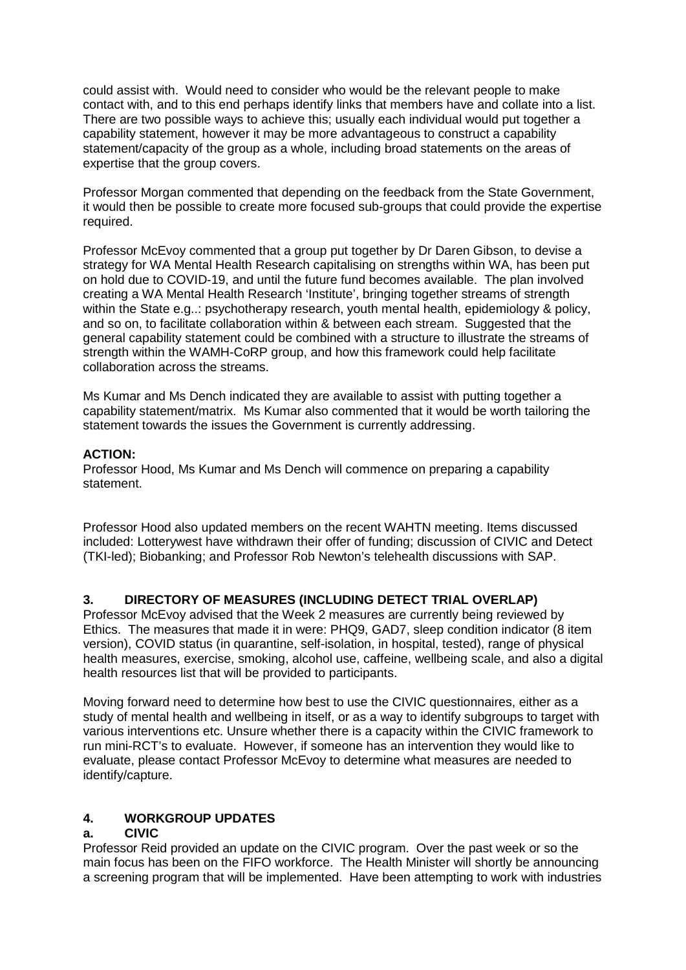could assist with. Would need to consider who would be the relevant people to make contact with, and to this end perhaps identify links that members have and collate into a list. There are two possible ways to achieve this; usually each individual would put together a capability statement, however it may be more advantageous to construct a capability statement/capacity of the group as a whole, including broad statements on the areas of expertise that the group covers.

Professor Morgan commented that depending on the feedback from the State Government, it would then be possible to create more focused sub-groups that could provide the expertise required.

Professor McEvoy commented that a group put together by Dr Daren Gibson, to devise a strategy for WA Mental Health Research capitalising on strengths within WA, has been put on hold due to COVID-19, and until the future fund becomes available. The plan involved creating a WA Mental Health Research 'Institute', bringing together streams of strength within the State e.g..: psychotherapy research, youth mental health, epidemiology & policy, and so on, to facilitate collaboration within & between each stream. Suggested that the general capability statement could be combined with a structure to illustrate the streams of strength within the WAMH-CoRP group, and how this framework could help facilitate collaboration across the streams.

Ms Kumar and Ms Dench indicated they are available to assist with putting together a capability statement/matrix. Ms Kumar also commented that it would be worth tailoring the statement towards the issues the Government is currently addressing.

## **ACTION:**

Professor Hood, Ms Kumar and Ms Dench will commence on preparing a capability statement.

Professor Hood also updated members on the recent WAHTN meeting. Items discussed included: Lotterywest have withdrawn their offer of funding; discussion of CIVIC and Detect (TKI-led); Biobanking; and Professor Rob Newton's telehealth discussions with SAP.

# **3. DIRECTORY OF MEASURES (INCLUDING DETECT TRIAL OVERLAP)**

Professor McEvoy advised that the Week 2 measures are currently being reviewed by Ethics. The measures that made it in were: PHQ9, GAD7, sleep condition indicator (8 item version), COVID status (in quarantine, self-isolation, in hospital, tested), range of physical health measures, exercise, smoking, alcohol use, caffeine, wellbeing scale, and also a digital health resources list that will be provided to participants.

Moving forward need to determine how best to use the CIVIC questionnaires, either as a study of mental health and wellbeing in itself, or as a way to identify subgroups to target with various interventions etc. Unsure whether there is a capacity within the CIVIC framework to run mini-RCT's to evaluate. However, if someone has an intervention they would like to evaluate, please contact Professor McEvoy to determine what measures are needed to identify/capture.

# **4. WORKGROUP UPDATES**

# **a. CIVIC**

Professor Reid provided an update on the CIVIC program. Over the past week or so the main focus has been on the FIFO workforce. The Health Minister will shortly be announcing a screening program that will be implemented. Have been attempting to work with industries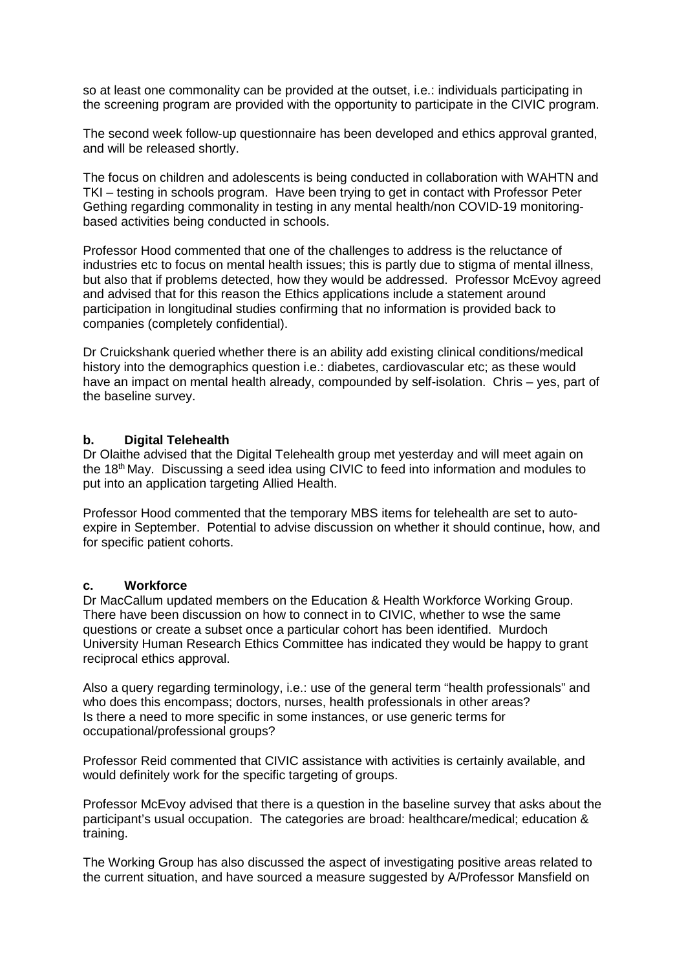so at least one commonality can be provided at the outset, i.e.: individuals participating in the screening program are provided with the opportunity to participate in the CIVIC program.

The second week follow-up questionnaire has been developed and ethics approval granted, and will be released shortly.

The focus on children and adolescents is being conducted in collaboration with WAHTN and TKI – testing in schools program. Have been trying to get in contact with Professor Peter Gething regarding commonality in testing in any mental health/non COVID-19 monitoringbased activities being conducted in schools.

Professor Hood commented that one of the challenges to address is the reluctance of industries etc to focus on mental health issues; this is partly due to stigma of mental illness, but also that if problems detected, how they would be addressed. Professor McEvoy agreed and advised that for this reason the Ethics applications include a statement around participation in longitudinal studies confirming that no information is provided back to companies (completely confidential).

Dr Cruickshank queried whether there is an ability add existing clinical conditions/medical history into the demographics question i.e.: diabetes, cardiovascular etc; as these would have an impact on mental health already, compounded by self-isolation. Chris – yes, part of the baseline survey.

#### **b. Digital Telehealth**

Dr Olaithe advised that the Digital Telehealth group met yesterday and will meet again on the 18th May. Discussing a seed idea using CIVIC to feed into information and modules to put into an application targeting Allied Health.

Professor Hood commented that the temporary MBS items for telehealth are set to autoexpire in September. Potential to advise discussion on whether it should continue, how, and for specific patient cohorts.

#### **c. Workforce**

Dr MacCallum updated members on the Education & Health Workforce Working Group. There have been discussion on how to connect in to CIVIC, whether to wse the same questions or create a subset once a particular cohort has been identified. Murdoch University Human Research Ethics Committee has indicated they would be happy to grant reciprocal ethics approval.

Also a query regarding terminology, i.e.: use of the general term "health professionals" and who does this encompass; doctors, nurses, health professionals in other areas? Is there a need to more specific in some instances, or use generic terms for occupational/professional groups?

Professor Reid commented that CIVIC assistance with activities is certainly available, and would definitely work for the specific targeting of groups.

Professor McEvoy advised that there is a question in the baseline survey that asks about the participant's usual occupation. The categories are broad: healthcare/medical; education & training.

The Working Group has also discussed the aspect of investigating positive areas related to the current situation, and have sourced a measure suggested by A/Professor Mansfield on